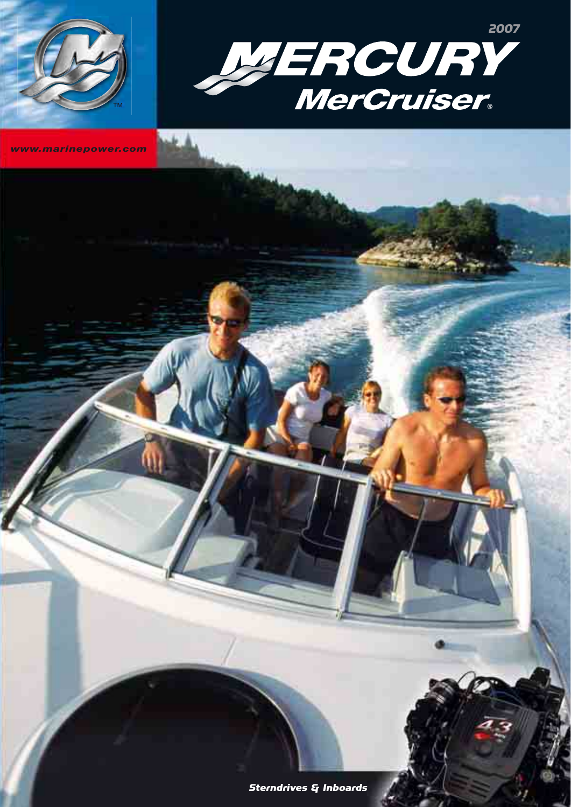

*www.marinepower.com*

™

Sterndrives & Inboards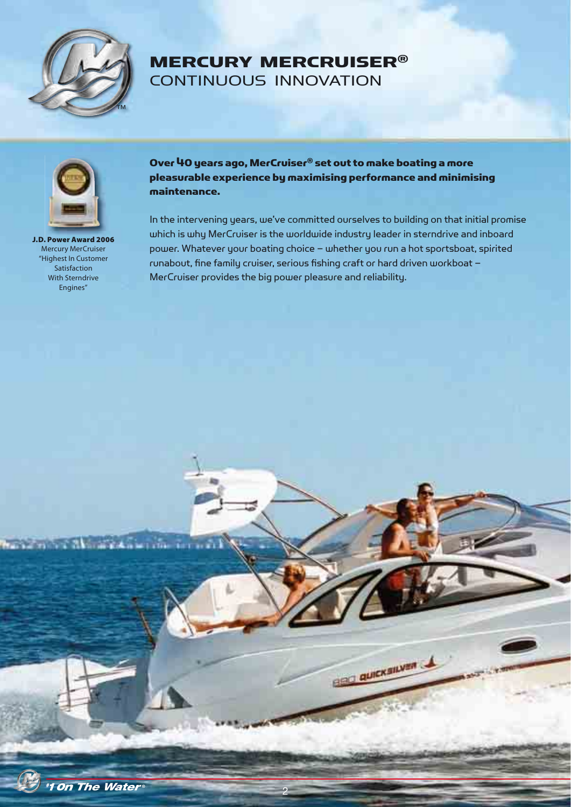

# MERCURY MERCRUISER® CONTINUOUS INNOVATION



**J.D. Power Award 2006** Mercury MerCruiser "Highest In Customer Satisfaction With Sterndrive Engines"

Over 40 years ago, MerCruiser® set out to make boating a more pleasurable experience by maximising performance and minimising maintenance.

In the intervening years, we've committed ourselves to building on that initial promise which is why MerCruiser is the worldwide industry leader in sterndrive and inboard power. Whatever your boating choice – whether you run a hot sportsboat, spirited runabout, fine family cruiser, serious fishing craft or hard driven workboat – MerCruiser provides the big power pleasure and reliability.



2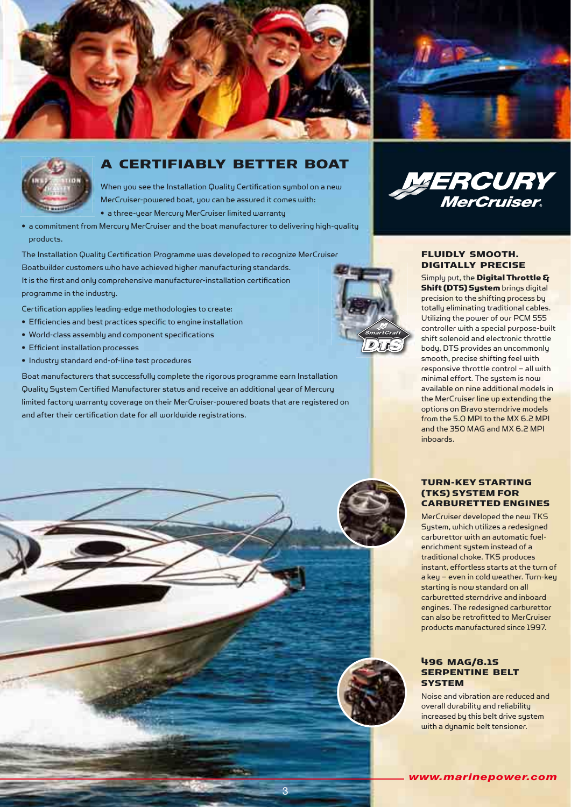



When you see the Installation Quality Certification symbol on a new MerCruiser-powered boat, you can be assured it comes with:

• a three-year Mercury MerCruiser limited warranty

• a commitment from Mercury MerCruiser and the boat manufacturer to delivering high-quality products.

The Installation Quality Certification Programme was developed to recognize MerCruiser Boatbuilder customers who have achieved higher manufacturing standards. It is the first and only comprehensive manufacturer-installation certification programme in the industry.

Certification applies leading-edge methodologies to create:

- $\bullet$  Efficiencies and best practices specific to engine installation
- World-class assembly and component specifications
- Efficient installation processes
- Industry standard end-of-line test procedures

Boat manufacturers that successfully complete the rigorous programme earn Installation Quality System Certified Manufacturer status and receive an additional year of Mercury limited factory warranty coverage on their MerCruiser-powered boats that are registered on and after their certification date for all worldwide registrations.







#### FLUIDLY SMOOTH. DIGITALLY PRECISE

Simply put, the Digital Throttle & Shift (DTS) System brings digital precision to the shifting process by totally eliminating traditional cables. Utilizing the power of our PCM 555 controller with a special purpose-built shift solenoid and electronic throttle body, DTS provides an uncommonly smooth, precise shifting feel with responsive throttle control – all with minimal effort. The system is now available on nine additional models in the MerCruiser line up extending the options on Bravo sterndrive models from the 5.0 MPI to the MX 6.2 MPI and the 350 MAG and MX 6.2 MPI inboards.

#### TURN-KEY STARTING (TKS) SYSTEM FOR CARBURETTED ENGINES

MerCruiser developed the new TKS System, which utilizes a redesigned carburettor with an automatic fuelenrichment system instead of a traditional choke. TKS produces instant, effortless starts at the turn of a key – even in cold weather. Turn-key starting is now standard on all carburetted sterndrive and inboard engines. The redesigned carburettor can also be retrofitted to MerCruiser products manufactured since 1997.

#### 496 MAG/8.1S SERPENTINE BELT **SYSTEM**

Noise and vibration are reduced and overall durability and reliability increased by this belt drive system with a dynamic belt tensioner.



3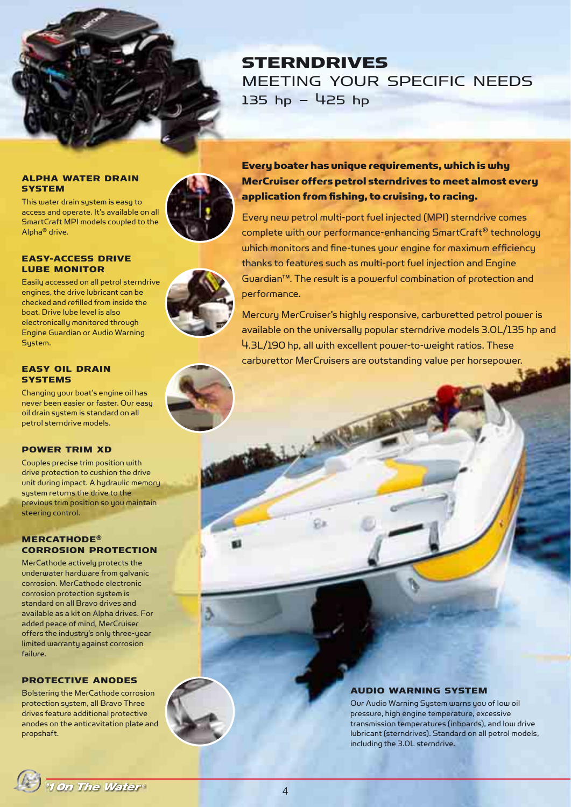

# **STERNDRIVES** MEETING YOUR SPECIFIC NEEDS 135 hp – 425 hp

#### ALPHA WATER DRAIN **SYSTEM**

This water drain system is easy to access and operate. It's available on all SmartCraft MPI models coupled to the Alpha® drive.

#### EASY-ACCESS DRIVE LUBE MONITOR

Easily accessed on all petrol sterndrive engines, the drive lubricant can be checked and refi lled from inside the boat. Drive lube level is also electronically monitored through Engine Guardian or Audio Warning System.

#### EASY OIL DRAIN **SYSTEMS**

Changing your boat's engine oil has never been easier or faster. Our easy oil drain system is standard on all petrol sterndrive models.

#### POWER TRIM XD

Couples precise trim position with drive protection to cushion the drive unit during impact. A hydraulic memory system returns the drive to the previous trim position so you maintain steering control.

#### MERCATHODE® CORROSION PROTECTION

MerCathode actively protects the underwater hardware from galvanic corrosion. MerCathode electronic corrosion protection system is standard on all Bravo drives and available as a kit on Alpha drives. For added peace of mind, MerCruiser offers the industry's only three-year limited warranty against corrosion failure.

#### PROTECTIVE ANODES

Bolstering the MerCathode corrosion protection system, all Bravo Three drives feature additional protective anodes on the anticavitation plate and propshaft.



Every new petrol multi-port fuel injected (MPI) sterndrive comes complete with our performance-enhancing SmartCraft® technology which monitors and fine-tunes your engine for maximum efficiency thanks to features such as multi-port fuel injection and Engine Guardian™. The result is a powerful combination of protection and performance.

Mercury MerCruiser's highly responsive, carburetted petrol power is available on the universally popular sterndrive models 3.0L/135 hp and 4.3L/190 hp, all with excellent power-to-weight ratios. These carburettor MerCruisers are outstanding value per horsepower.

## AUDIO WARNING SYSTEM

Our Audio Warning System warns you of low oil pressure, high engine temperature, excessive transmission temperatures (inboards), and low drive lubricant (sterndrives). Standard on all petrol models, including the 3.0L sterndrive.

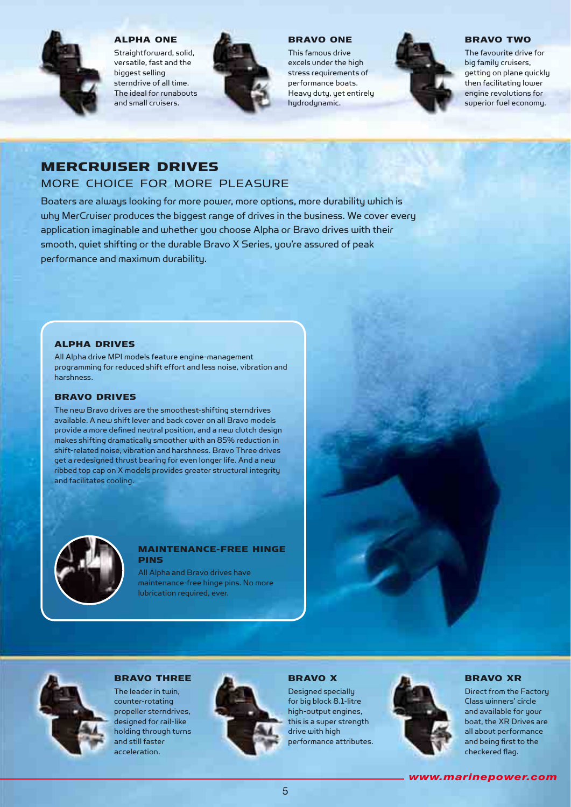

#### ALPHA ONE

Straightforward, solid, versatile, fast and the biggest selling sterndrive of all time. The ideal for runabouts and small cruisers.



#### BRAVO ONE

This famous drive excels under the high stress requirements of performance boats. Heavy duty, yet entirely hudrodunamic.



#### BRAVO TWO

The favourite drive for big family cruisers, getting on plane quickly then facilitating lower engine revolutions for superior fuel economy.

# MERCRUISER DRIVES

# MORE CHOICE FOR MORE PLEASURE

Boaters are always looking for more power, more options, more durability which is why MerCruiser produces the biggest range of drives in the business. We cover every application imaginable and whether you choose Alpha or Bravo drives with their smooth, quiet shifting or the durable Bravo X Series, you're assured of peak performance and maximum durability.

#### ALPHA DRIVES

All Alpha drive MPI models feature engine-management programming for reduced shift effort and less noise, vibration and harshness.

#### BRAVO DRIVES

The new Bravo drives are the smoothest-shifting sterndrives available. A new shift lever and back cover on all Bravo models provide a more defined neutral position, and a new clutch design makes shifting dramatically smoother with an 85% reduction in shift-related noise, vibration and harshness. Bravo Three drives get a redesigned thrust bearing for even longer life. And a new ribbed top cap on X models provides greater structural integrity and facilitates cooling.



#### MAINTENANCE-FREE HINGE PINS

All Alpha and Bravo drives have maintenance-free hinge pins. No more lubrication required, ever.



#### BRAVO THREE

The leader in twin, counter-rotating propeller sterndrives, designed for rail-like holding through turns and still faster acceleration.



#### BRAVO X

Designed specially for big block 8.1-litre high-output engines, this is a super strength drive with high performance attributes.



#### BRAVO XR

Direct from the Factory Class winners' circle and available for your boat, the XR Drives are all about performance and being first to the checkered flag.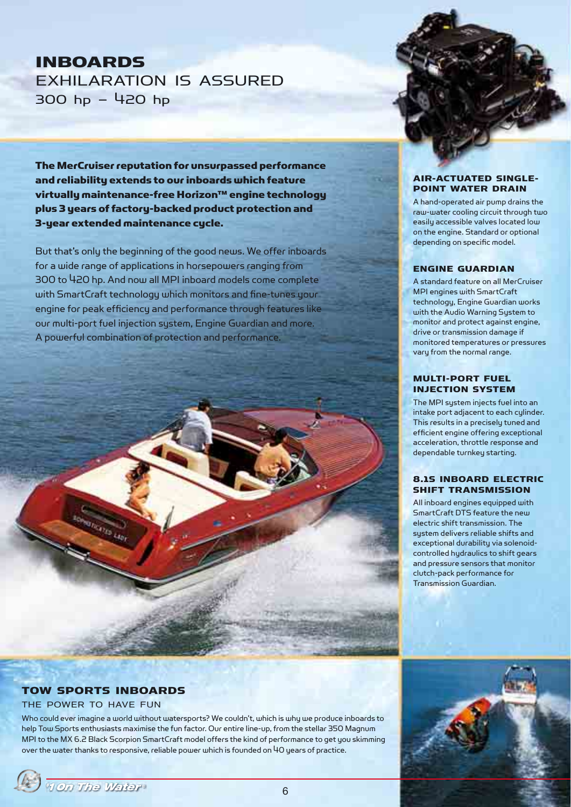# INBOARDS EXHILARATION IS ASSURED 300 hp – 420 hp

The MerCruiser reputation for unsurpassed performance and reliability extends to our inboards which feature virtually maintenance-free Horizon™ engine technology plus 3 years of factory-backed product protection and 3-year extended maintenance cycle.

But that's only the beginning of the good news. We offer inboards for a wide range of applications in horsepowers ranging from 300 to 420 hp. And now all MPI inboard models come complete with SmartCraft technology which monitors and fine-tunes your engine for peak efficiency and performance through features like our multi-port fuel injection system, Engine Guardian and more. A powerful combination of protection and performance.

#### AIR-ACTUATED SINGLE-POINT WATER DRAIN

A hand-operated air pump drains the raw-water cooling circuit through two easily accessible valves located low on the engine. Standard or optional depending on specific model.

#### ENGINE GUARDIAN

A standard feature on all MerCruiser MPI engines with SmartCraft technology, Engine Guardian works with the Audio Warning System to monitor and protect against engine, drive or transmission damage if monitored temperatures or pressures vary from the normal range.

#### MULTI-PORT FUEL INJECTION SYSTEM

The MPI system injects fuel into an intake port adjacent to each cylinder. This results in a precisely tuned and efficient engine offering exceptional acceleration, throttle response and dependable turnkey starting.

#### 8.1S INBOARD ELECTRIC SHIFT TRANSMISSION

All inboard engines equipped with SmartCraft DTS feature the new electric shift transmission. The system delivers reliable shifts and exceptional durability via solenoidcontrolled hydraulics to shift gears and pressure sensors that monitor clutch-pack performance for Transmission Guardian.

## TOW SPORTS INBOARDS

#### THE POWER TO HAVE FUN

Who could ever imagine a world without watersports? We couldn't, which is why we produce inboards to help Tow Sports enthusiasts maximise the fun factor. Our entire line-up, from the stellar 350 Magnum MPI to the MX 6.2 Black Scorpion SmartCraft model offers the kind of performance to get you skimming over the water thanks to responsive, reliable power which is founded on 40 years of practice.

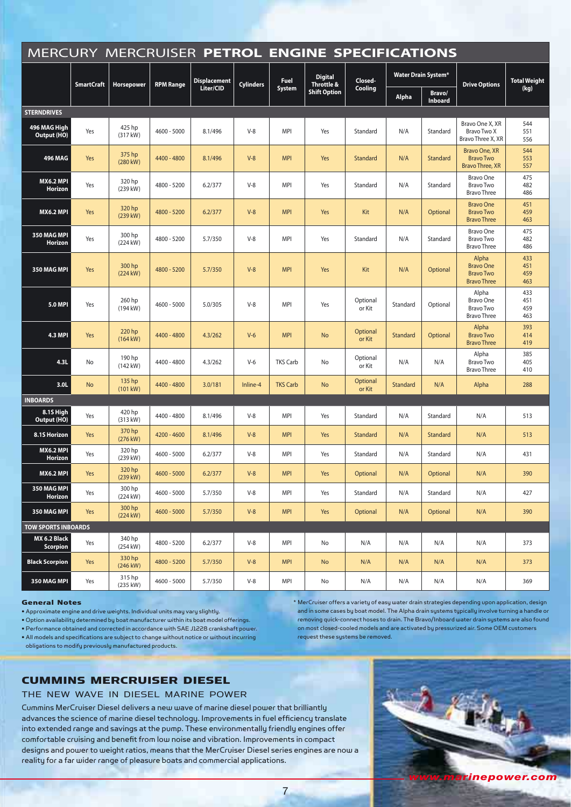|                                 | MERCURY MERCRUISER PETROL ENGINE SPECIFICATIONS |                              |                  |                     |                  |                 |                              |                    |                            |                   |                                                                     |                          |
|---------------------------------|-------------------------------------------------|------------------------------|------------------|---------------------|------------------|-----------------|------------------------------|--------------------|----------------------------|-------------------|---------------------------------------------------------------------|--------------------------|
|                                 | <b>SmartCraft</b>                               | Horsepower                   | <b>RPM Range</b> | <b>Displacement</b> | <b>Cylinders</b> | <b>Fuel</b>     | <b>Digital</b><br>Throttle & | Closed-<br>Cooling | <b>Water Drain System*</b> |                   | <b>Drive Options</b>                                                | <b>Total Weight</b>      |
|                                 |                                                 |                              |                  | Liter/CID           |                  | System          | <b>Shift Option</b>          |                    | <b>Alpha</b>               | Bravo/<br>Inboard |                                                                     | (kg)                     |
| <b>STERNDRIVES</b>              |                                                 |                              |                  |                     |                  |                 |                              |                    |                            |                   |                                                                     |                          |
| 496 MAG High<br>Output (HO)     | Yes                                             | 425 hp<br>(317 kW)           | 4600 - 5000      | 8.1/496             | $V-8$            | MPI             | Yes                          | Standard           | N/A                        | Standard          | Bravo One X, XR<br>Bravo Two X<br>Bravo Three X, XR                 | 544<br>551<br>556        |
| 496 MAG                         | Yes                                             | 375 hp<br>$(280 \text{ kW})$ | 4400 - 4800      | 8.1/496             | $V-8$            | <b>MPI</b>      | Yes                          | Standard           | N/A                        | Standard          | Bravo One, XR<br><b>Bravo Two</b><br><b>Bravo Three, XR</b>         | 544<br>553<br>557        |
| <b>MX6.2 MPI</b><br>Horizon     | Yes                                             | 320 hp<br>(239 kW)           | 4800 - 5200      | 6.2/377             | $V-8$            | <b>MPI</b>      | Yes                          | Standard           | N/A                        | Standard          | Bravo One<br><b>Bravo Two</b><br><b>Bravo Three</b>                 | 475<br>482<br>486        |
| <b>MX6.2 MPI</b>                | Yes                                             | 320 hp<br>$(239$ kW)         | 4800 - 5200      | 6.2/377             | $V-8$            | <b>MPI</b>      | Yes                          | Kit                | N/A                        | Optional          | <b>Bravo One</b><br><b>Bravo Two</b><br><b>Bravo Three</b>          | 451<br>459<br>463        |
| 350 MAG MPI<br>Horizon          | Yes                                             | 300 hp<br>$(224 \text{ kW})$ | 4800 - 5200      | 5.7/350             | $V-8$            | <b>MPI</b>      | Yes                          | Standard           | N/A                        | Standard          | <b>Bravo One</b><br><b>Bravo Two</b><br><b>Bravo Three</b>          | 475<br>482<br>486        |
| 350 MAG MPI                     | Yes                                             | 300 hp<br>$(224$ kW)         | 4800 - 5200      | 5.7/350             | $V-8$            | <b>MPI</b>      | Yes                          | Kit                | N/A                        | Optional          | Alpha<br><b>Bravo One</b><br><b>Bravo Two</b><br><b>Bravo Three</b> | 433<br>451<br>459<br>463 |
| <b>5.0 MPI</b>                  | Yes                                             | 260 hp<br>$(194 \text{ kW})$ | 4600 - 5000      | 5.0/305             | $V-8$            | <b>MPI</b>      | Yes                          | Optional<br>or Kit | Standard                   | Optional          | Alpha<br><b>Bravo One</b><br><b>Bravo Two</b><br><b>Bravo Three</b> | 433<br>451<br>459<br>463 |
| <b>4.3 MPI</b>                  | Yes                                             | 220 hp<br>$(164$ kW)         | 4400 - 4800      | 4.3/262             | $V-6$            | <b>MPI</b>      | <b>No</b>                    | Optional<br>or Kit | Standard                   | Optional          | Alpha<br><b>Bravo Two</b><br><b>Bravo Three</b>                     | 393<br>414<br>419        |
| 4.3L                            | No                                              | 190 hp<br>$(142 \text{ kW})$ | 4400 - 4800      | 4.3/262             | $V-6$            | <b>TKS Carb</b> | No                           | Optional<br>or Kit | N/A                        | N/A               | Alpha<br><b>Bravo Two</b><br><b>Bravo Three</b>                     | 385<br>405<br>410        |
| 3.0L                            | <b>No</b>                                       | 135 hp<br>$(101$ kW)         | 4400 - 4800      | 3.0/181             | Inline-4         | <b>TKS Carb</b> | <b>No</b>                    | Optional<br>or Kit | Standard                   | N/A               | Alpha                                                               | 288                      |
| <b>INBOARDS</b>                 |                                                 |                              |                  |                     |                  |                 |                              |                    |                            |                   |                                                                     |                          |
| 8.1S High<br>Output (HO)        | Yes                                             | 420 hp<br>(313 kW)           | 4400 - 4800      | 8.1/496             | $V-8$            | MPI             | Yes                          | Standard           | N/A                        | Standard          | N/A                                                                 | 513                      |
| 8.1S Horizon                    | Yes                                             | 370 hp<br>(276 kW)           | 4200 - 4600      | 8.1/496             | $V-8$            | <b>MPI</b>      | Yes                          | Standard           | N/A                        | Standard          | N/A                                                                 | 513                      |
| <b>MX6.2 MPI</b><br>Horizon     | Yes                                             | 320 hp<br>(239 kW)           | 4600 - 5000      | 6.2/377             | $V-8$            | <b>MPI</b>      | Yes                          | Standard           | N/A                        | Standard          | N/A                                                                 | 431                      |
| MX6.2 MPI                       | Yes                                             | 320 hp<br>(239 kW)           | $4600 - 5000$    | 6.2/377             | $V-8$            | <b>MPI</b>      | Yes                          | Optional           | N/A                        | Optional          | N/A                                                                 | 390                      |
| 350 MAG MPI<br>Horizon          | Yes                                             | 300 hp<br>(224 kW)           | 4600 - 5000      | 5.7/350             | $V-8$            | MPI             | Yes                          | Standard           | N/A                        | Standard          | N/A                                                                 | 427                      |
| 350 MAG MPI                     | Yes                                             | 300 hp<br>$(224$ kW)         | $4600 - 5000$    | 5.7/350             | $V-8$            | <b>MPI</b>      | Yes                          | Optional           | N/A                        | Optional          | N/A                                                                 | 390                      |
| <b>TOW SPORTS INBOARDS</b>      |                                                 |                              |                  |                     |                  |                 |                              |                    |                            |                   |                                                                     |                          |
| MX 6.2 Black<br><b>Scorpion</b> | Yes                                             | 340 hp<br>(254 kW)           | 4800 - 5200      | 6.2/377             | $V-8$            | MPI             | No                           | N/A                | N/A                        | N/A               | N/A                                                                 | 373                      |
| <b>Black Scorpion</b>           | Yes                                             | 330 hp<br>(246 kW)           | 4800 - 5200      | 5.7/350             | $V-8$            | <b>MPI</b>      | No                           | N/A                | N/A                        | N/A               | N/A                                                                 | 373                      |
| 350 MAG MPI                     | Yes                                             | 315 hp<br>(235 kW)           | 4600 - 5000      | 5.7/350             | $V-8$            | <b>MPI</b>      | No                           | N/A                | N/A                        | N/A               | N/A                                                                 | 369                      |

#### General Notes

• Approximate engine and drive weights. Individual units may vary slightly.

• Option availability determined by boat manufacturer within its boat model offerings.

• Performance obtained and corrected in accordance with SAE J1228 crankshaft power. • All models and specifications are subject to change without notice or without incurring

obligations to modify previously manufactured products.

## CUMMINS MERCRUISER DIESEL

#### THE NEW WAVE IN DIESEL MARINE POWER

Cummins MerCruiser Diesel delivers a new wave of marine diesel power that brilliantly advances the science of marine diesel technology. Improvements in fuel efficiency translate into extended range and savings at the pump. These environmentally friendly engines offer comfortable cruising and benefit from low noise and vibration. Improvements in compact designs and power to weight ratios, means that the MerCruiser Diesel series engines are now a reality for a far wider range of pleasure boats and commercial applications.



\* MerCruiser offers a variety of easy water drain strategies depending upon application, design and in some cases by boat model. The Alpha drain systems typically involve turning a handle or removing quick-connect hoses to drain. The Bravo/Inboard water drain systems are also found on most closed-cooled models and are activated by pressurized air. Some OEM customers

request these systems be removed.